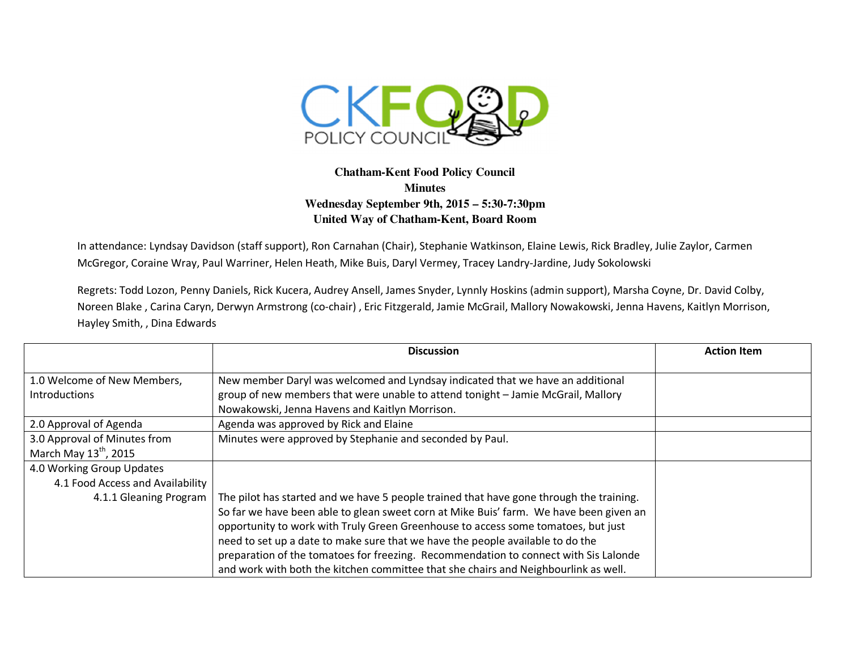

## **Chatham-Kent Food Policy Council Minutes Wednesday September 9th, 2015 – 5:30-7:30pm United Way of Chatham-Kent, Board Room**

In attendance: Lyndsay Davidson (staff support), Ron Carnahan (Chair), Stephanie Watkinson, Elaine Lewis, Rick Bradley, Julie Zaylor, Carmen McGregor, Coraine Wray, Paul Warriner, Helen Heath, Mike Buis, Daryl Vermey, Tracey Landry-Jardine, Judy Sokolowski

Regrets: Todd Lozon, Penny Daniels, Rick Kucera, Audrey Ansell, James Snyder, Lynnly Hoskins (admin support), Marsha Coyne, Dr. David Colby, Noreen Blake , Carina Caryn, Derwyn Armstrong (co-chair) , Eric Fitzgerald, Jamie McGrail, Mallory Nowakowski, Jenna Havens, Kaitlyn Morrison, Hayley Smith, , Dina Edwards

|                                   | <b>Discussion</b>                                                                       | <b>Action Item</b> |
|-----------------------------------|-----------------------------------------------------------------------------------------|--------------------|
|                                   |                                                                                         |                    |
| 1.0 Welcome of New Members,       | New member Daryl was welcomed and Lyndsay indicated that we have an additional          |                    |
| <b>Introductions</b>              | group of new members that were unable to attend tonight - Jamie McGrail, Mallory        |                    |
|                                   | Nowakowski, Jenna Havens and Kaitlyn Morrison.                                          |                    |
| 2.0 Approval of Agenda            | Agenda was approved by Rick and Elaine                                                  |                    |
| 3.0 Approval of Minutes from      | Minutes were approved by Stephanie and seconded by Paul.                                |                    |
| March May $13^{\text{th}}$ , 2015 |                                                                                         |                    |
| 4.0 Working Group Updates         |                                                                                         |                    |
| 4.1 Food Access and Availability  |                                                                                         |                    |
| 4.1.1 Gleaning Program            | The pilot has started and we have 5 people trained that have gone through the training. |                    |
|                                   | So far we have been able to glean sweet corn at Mike Buis' farm. We have been given an  |                    |
|                                   | opportunity to work with Truly Green Greenhouse to access some tomatoes, but just       |                    |
|                                   | need to set up a date to make sure that we have the people available to do the          |                    |
|                                   | preparation of the tomatoes for freezing. Recommendation to connect with Sis Lalonde    |                    |
|                                   | and work with both the kitchen committee that she chairs and Neighbourlink as well.     |                    |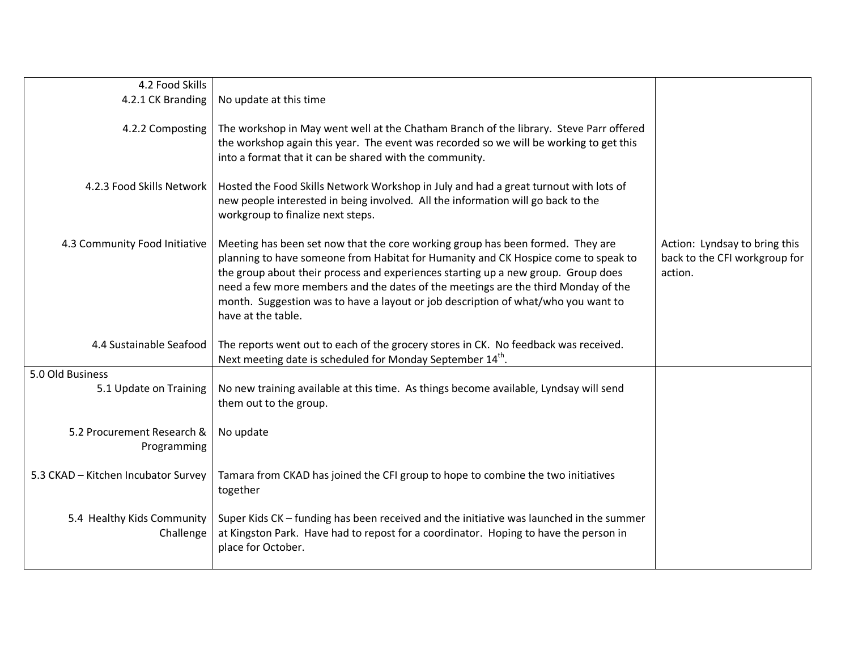| 4.2 Food Skills                           |                                                                                                                                                                                                                                                                                                                                                                                                                                                           |                                                                           |
|-------------------------------------------|-----------------------------------------------------------------------------------------------------------------------------------------------------------------------------------------------------------------------------------------------------------------------------------------------------------------------------------------------------------------------------------------------------------------------------------------------------------|---------------------------------------------------------------------------|
| 4.2.1 CK Branding                         | No update at this time                                                                                                                                                                                                                                                                                                                                                                                                                                    |                                                                           |
| 4.2.2 Composting                          | The workshop in May went well at the Chatham Branch of the library. Steve Parr offered<br>the workshop again this year. The event was recorded so we will be working to get this<br>into a format that it can be shared with the community.                                                                                                                                                                                                               |                                                                           |
| 4.2.3 Food Skills Network                 | Hosted the Food Skills Network Workshop in July and had a great turnout with lots of<br>new people interested in being involved. All the information will go back to the<br>workgroup to finalize next steps.                                                                                                                                                                                                                                             |                                                                           |
| 4.3 Community Food Initiative             | Meeting has been set now that the core working group has been formed. They are<br>planning to have someone from Habitat for Humanity and CK Hospice come to speak to<br>the group about their process and experiences starting up a new group. Group does<br>need a few more members and the dates of the meetings are the third Monday of the<br>month. Suggestion was to have a layout or job description of what/who you want to<br>have at the table. | Action: Lyndsay to bring this<br>back to the CFI workgroup for<br>action. |
| 4.4 Sustainable Seafood                   | The reports went out to each of the grocery stores in CK. No feedback was received.<br>Next meeting date is scheduled for Monday September 14th.                                                                                                                                                                                                                                                                                                          |                                                                           |
| 5.0 Old Business                          |                                                                                                                                                                                                                                                                                                                                                                                                                                                           |                                                                           |
| 5.1 Update on Training                    | No new training available at this time. As things become available, Lyndsay will send<br>them out to the group.                                                                                                                                                                                                                                                                                                                                           |                                                                           |
| 5.2 Procurement Research &<br>Programming | No update                                                                                                                                                                                                                                                                                                                                                                                                                                                 |                                                                           |
| 5.3 CKAD - Kitchen Incubator Survey       | Tamara from CKAD has joined the CFI group to hope to combine the two initiatives<br>together                                                                                                                                                                                                                                                                                                                                                              |                                                                           |
| 5.4 Healthy Kids Community<br>Challenge   | Super Kids CK - funding has been received and the initiative was launched in the summer<br>at Kingston Park. Have had to repost for a coordinator. Hoping to have the person in<br>place for October.                                                                                                                                                                                                                                                     |                                                                           |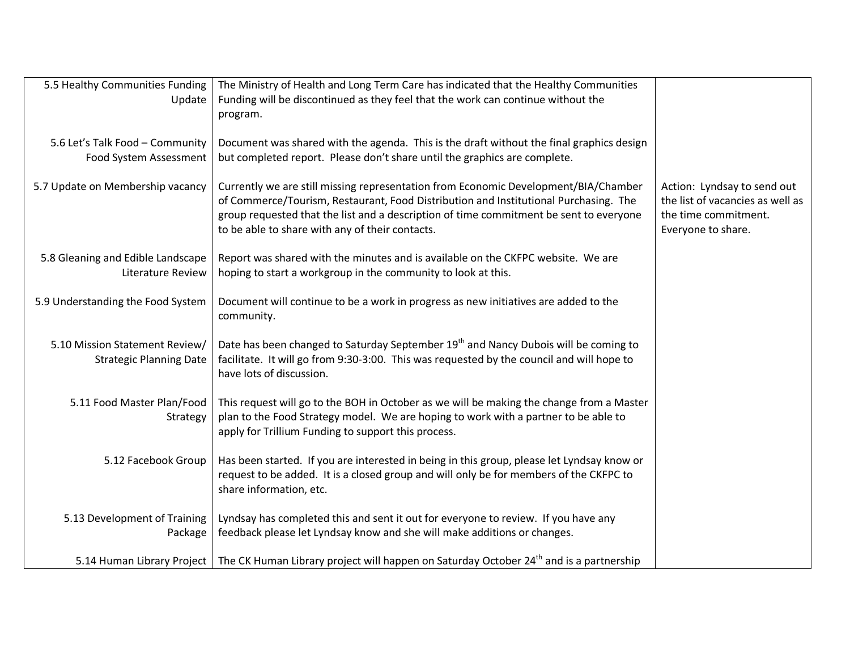| 5.5 Healthy Communities Funding                                  | The Ministry of Health and Long Term Care has indicated that the Healthy Communities                                                                                                                                                                                                                                     |                                                                                                               |
|------------------------------------------------------------------|--------------------------------------------------------------------------------------------------------------------------------------------------------------------------------------------------------------------------------------------------------------------------------------------------------------------------|---------------------------------------------------------------------------------------------------------------|
| Update                                                           | Funding will be discontinued as they feel that the work can continue without the<br>program.                                                                                                                                                                                                                             |                                                                                                               |
| 5.6 Let's Talk Food - Community                                  | Document was shared with the agenda. This is the draft without the final graphics design                                                                                                                                                                                                                                 |                                                                                                               |
| Food System Assessment                                           | but completed report. Please don't share until the graphics are complete.                                                                                                                                                                                                                                                |                                                                                                               |
| 5.7 Update on Membership vacancy                                 | Currently we are still missing representation from Economic Development/BIA/Chamber<br>of Commerce/Tourism, Restaurant, Food Distribution and Institutional Purchasing. The<br>group requested that the list and a description of time commitment be sent to everyone<br>to be able to share with any of their contacts. | Action: Lyndsay to send out<br>the list of vacancies as well as<br>the time commitment.<br>Everyone to share. |
| 5.8 Gleaning and Edible Landscape<br><b>Literature Review</b>    | Report was shared with the minutes and is available on the CKFPC website. We are<br>hoping to start a workgroup in the community to look at this.                                                                                                                                                                        |                                                                                                               |
| 5.9 Understanding the Food System                                | Document will continue to be a work in progress as new initiatives are added to the<br>community.                                                                                                                                                                                                                        |                                                                                                               |
| 5.10 Mission Statement Review/<br><b>Strategic Planning Date</b> | Date has been changed to Saturday September 19 <sup>th</sup> and Nancy Dubois will be coming to<br>facilitate. It will go from 9:30-3:00. This was requested by the council and will hope to<br>have lots of discussion.                                                                                                 |                                                                                                               |
| 5.11 Food Master Plan/Food<br>Strategy                           | This request will go to the BOH in October as we will be making the change from a Master<br>plan to the Food Strategy model. We are hoping to work with a partner to be able to<br>apply for Trillium Funding to support this process.                                                                                   |                                                                                                               |
| 5.12 Facebook Group                                              | Has been started. If you are interested in being in this group, please let Lyndsay know or<br>request to be added. It is a closed group and will only be for members of the CKFPC to<br>share information, etc.                                                                                                          |                                                                                                               |
| 5.13 Development of Training<br>Package                          | Lyndsay has completed this and sent it out for everyone to review. If you have any<br>feedback please let Lyndsay know and she will make additions or changes.                                                                                                                                                           |                                                                                                               |
|                                                                  | 5.14 Human Library Project   The CK Human Library project will happen on Saturday October 24 <sup>th</sup> and is a partnership                                                                                                                                                                                          |                                                                                                               |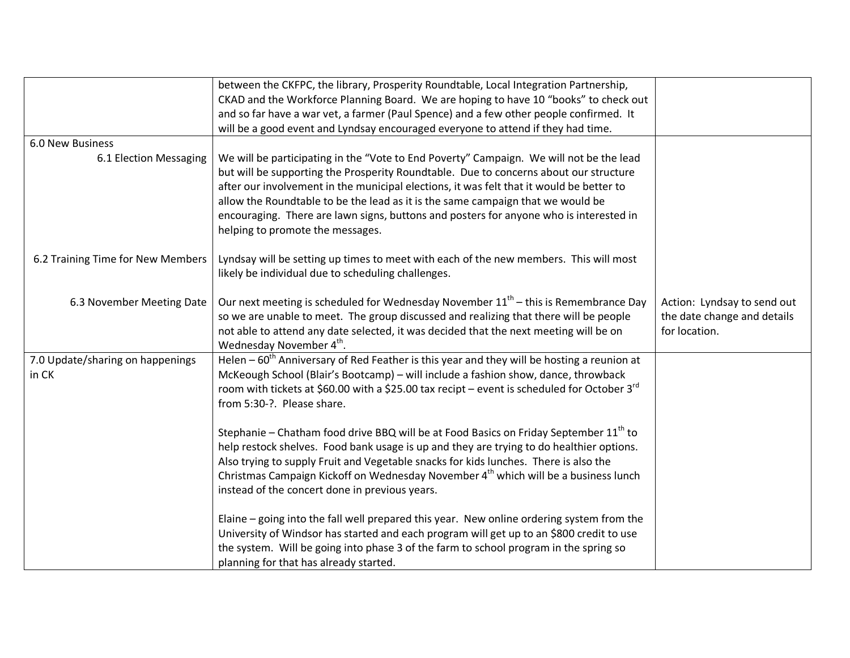|                                   | between the CKFPC, the library, Prosperity Roundtable, Local Integration Partnership,             |                                                            |
|-----------------------------------|---------------------------------------------------------------------------------------------------|------------------------------------------------------------|
|                                   | CKAD and the Workforce Planning Board. We are hoping to have 10 "books" to check out              |                                                            |
|                                   | and so far have a war vet, a farmer (Paul Spence) and a few other people confirmed. It            |                                                            |
|                                   | will be a good event and Lyndsay encouraged everyone to attend if they had time.                  |                                                            |
| <b>6.0 New Business</b>           |                                                                                                   |                                                            |
| 6.1 Election Messaging            | We will be participating in the "Vote to End Poverty" Campaign. We will not be the lead           |                                                            |
|                                   | but will be supporting the Prosperity Roundtable. Due to concerns about our structure             |                                                            |
|                                   | after our involvement in the municipal elections, it was felt that it would be better to          |                                                            |
|                                   | allow the Roundtable to be the lead as it is the same campaign that we would be                   |                                                            |
|                                   | encouraging. There are lawn signs, buttons and posters for anyone who is interested in            |                                                            |
|                                   | helping to promote the messages.                                                                  |                                                            |
|                                   |                                                                                                   |                                                            |
| 6.2 Training Time for New Members | Lyndsay will be setting up times to meet with each of the new members. This will most             |                                                            |
|                                   | likely be individual due to scheduling challenges.                                                |                                                            |
|                                   | Our next meeting is scheduled for Wednesday November $11th$ – this is Remembrance Day             |                                                            |
| 6.3 November Meeting Date         | so we are unable to meet. The group discussed and realizing that there will be people             | Action: Lyndsay to send out<br>the date change and details |
|                                   | not able to attend any date selected, it was decided that the next meeting will be on             | for location.                                              |
|                                   | Wednesday November 4 <sup>th</sup> .                                                              |                                                            |
| 7.0 Update/sharing on happenings  | Helen $-60th$ Anniversary of Red Feather is this year and they will be hosting a reunion at       |                                                            |
| in CK                             | McKeough School (Blair's Bootcamp) – will include a fashion show, dance, throwback                |                                                            |
|                                   | room with tickets at \$60.00 with a \$25.00 tax recipt – event is scheduled for October $3^{rd}$  |                                                            |
|                                   | from 5:30-?. Please share.                                                                        |                                                            |
|                                   |                                                                                                   |                                                            |
|                                   | Stephanie - Chatham food drive BBQ will be at Food Basics on Friday September 11 <sup>th</sup> to |                                                            |
|                                   | help restock shelves. Food bank usage is up and they are trying to do healthier options.          |                                                            |
|                                   | Also trying to supply Fruit and Vegetable snacks for kids lunches. There is also the              |                                                            |
|                                   | Christmas Campaign Kickoff on Wednesday November 4 <sup>th</sup> which will be a business lunch   |                                                            |
|                                   | instead of the concert done in previous years.                                                    |                                                            |
|                                   |                                                                                                   |                                                            |
|                                   | Elaine - going into the fall well prepared this year. New online ordering system from the         |                                                            |
|                                   | University of Windsor has started and each program will get up to an \$800 credit to use          |                                                            |
|                                   | the system. Will be going into phase 3 of the farm to school program in the spring so             |                                                            |
|                                   | planning for that has already started.                                                            |                                                            |